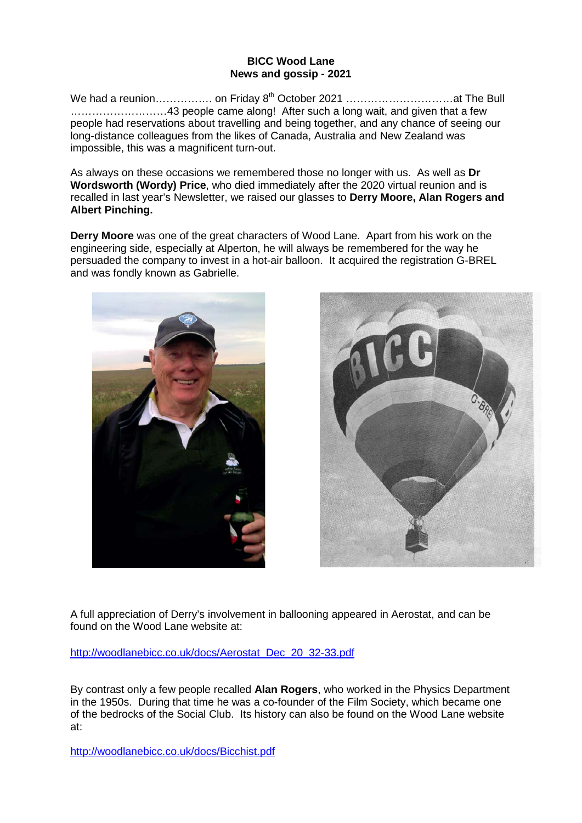## **BICC Wood Lane News and gossip - 2021**

We had a reunion……………. on Friday 8<sup>th</sup> October 2021 ……………………………at The Bull ………………………43 people came along! After such a long wait, and given that a few people had reservations about travelling and being together, and any chance of seeing our long-distance colleagues from the likes of Canada, Australia and New Zealand was impossible, this was a magnificent turn-out.

As always on these occasions we remembered those no longer with us. As well as **Dr Wordsworth (Wordy) Price**, who died immediately after the 2020 virtual reunion and is recalled in last year's Newsletter, we raised our glasses to **Derry Moore, Alan Rogers and Albert Pinching.**

**Derry Moore** was one of the great characters of Wood Lane. Apart from his work on the engineering side, especially at Alperton, he will always be remembered for the way he persuaded the company to invest in a hot-air balloon. It acquired the registration G-BREL and was fondly known as Gabrielle.





A full appreciation of Derry's involvement in ballooning appeared in Aerostat, and can be found on the Wood Lane website at:

[http://woodlanebicc.co.uk/docs/Aerostat\\_Dec\\_20\\_32-33.pdf](http://woodlanebicc.co.uk/docs/Aerostat_Dec_20_32-33.pdf)

By contrast only a few people recalled **Alan Rogers**, who worked in the Physics Department in the 1950s. During that time he was a co-founder of the Film Society, which became one of the bedrocks of the Social Club. Its history can also be found on the Wood Lane website at:

<http://woodlanebicc.co.uk/docs/Bicchist.pdf>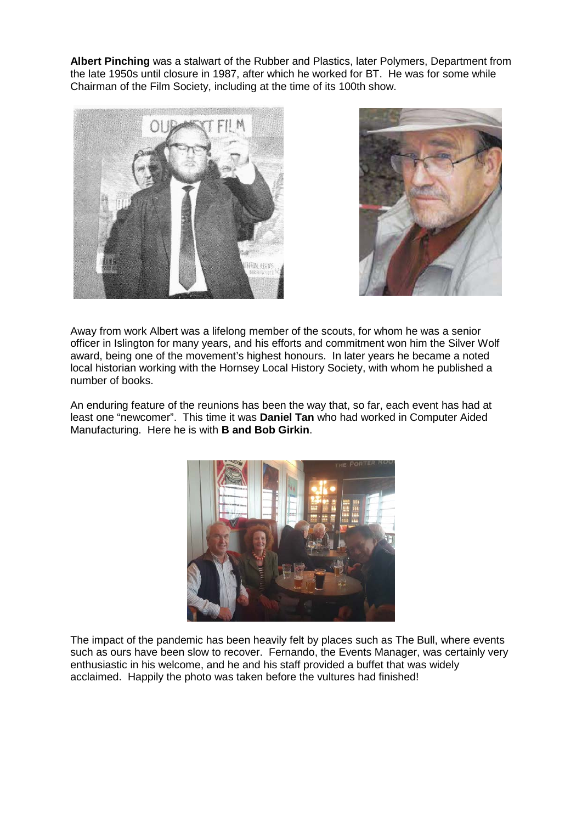**Albert Pinching** was a stalwart of the Rubber and Plastics, later Polymers, Department from the late 1950s until closure in 1987, after which he worked for BT. He was for some while Chairman of the Film Society, including at the time of its 100th show.





Away from work Albert was a lifelong member of the scouts, for whom he was a senior officer in Islington for many years, and his efforts and commitment won him the Silver Wolf award, being one of the movement's highest honours. In later years he became a noted local historian working with the Hornsey Local History Society, with whom he published a number of books.

An enduring feature of the reunions has been the way that, so far, each event has had at least one "newcomer". This time it was **Daniel Tan** who had worked in Computer Aided Manufacturing. Here he is with **B and Bob Girkin**.



The impact of the pandemic has been heavily felt by places such as The Bull, where events such as ours have been slow to recover. Fernando, the Events Manager, was certainly very enthusiastic in his welcome, and he and his staff provided a buffet that was widely acclaimed. Happily the photo was taken before the vultures had finished!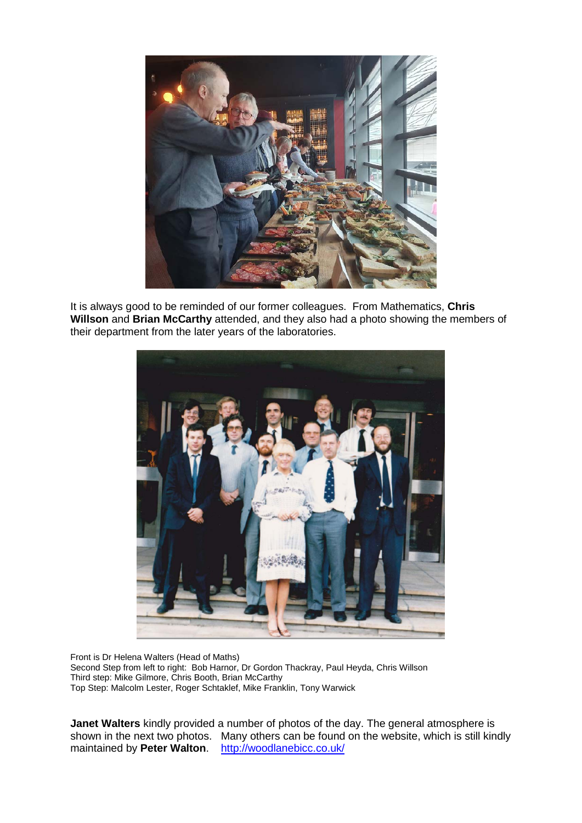

It is always good to be reminded of our former colleagues. From Mathematics, **Chris Willson** and **Brian McCarthy** attended, and they also had a photo showing the members of their department from the later years of the laboratories.



Front is Dr Helena Walters (Head of Maths) Second Step from left to right: Bob Harnor, Dr Gordon Thackray, Paul Heyda, Chris Willson Third step: Mike Gilmore, Chris Booth, Brian McCarthy Top Step: Malcolm Lester, Roger Schtaklef, Mike Franklin, Tony Warwick

**Janet Walters** kindly provided a number of photos of the day. The general atmosphere is shown in the next two photos. Many others can be found on the website, which is still kindly maintained by **Peter Walton**. <http://woodlanebicc.co.uk/>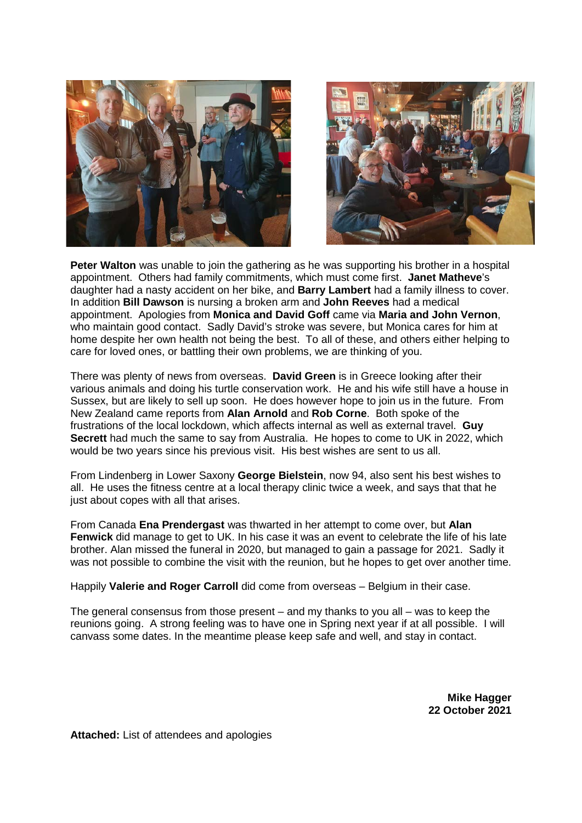



**Peter Walton** was unable to join the gathering as he was supporting his brother in a hospital appointment. Others had family commitments, which must come first. **Janet Matheve**'s daughter had a nasty accident on her bike, and **Barry Lambert** had a family illness to cover. In addition **Bill Dawson** is nursing a broken arm and **John Reeves** had a medical appointment. Apologies from **Monica and David Goff** came via **Maria and John Vernon**, who maintain good contact. Sadly David's stroke was severe, but Monica cares for him at home despite her own health not being the best. To all of these, and others either helping to care for loved ones, or battling their own problems, we are thinking of you.

There was plenty of news from overseas. **David Green** is in Greece looking after their various animals and doing his turtle conservation work. He and his wife still have a house in Sussex, but are likely to sell up soon. He does however hope to join us in the future. From New Zealand came reports from **Alan Arnold** and **Rob Corne**. Both spoke of the frustrations of the local lockdown, which affects internal as well as external travel. **Guy Secrett** had much the same to say from Australia. He hopes to come to UK in 2022, which would be two years since his previous visit. His best wishes are sent to us all.

From Lindenberg in Lower Saxony **George Bielstein**, now 94, also sent his best wishes to all. He uses the fitness centre at a local therapy clinic twice a week, and says that that he just about copes with all that arises.

From Canada **Ena Prendergast** was thwarted in her attempt to come over, but **Alan Fenwick** did manage to get to UK. In his case it was an event to celebrate the life of his late brother. Alan missed the funeral in 2020, but managed to gain a passage for 2021. Sadly it was not possible to combine the visit with the reunion, but he hopes to get over another time.

Happily **Valerie and Roger Carroll** did come from overseas – Belgium in their case.

The general consensus from those present – and my thanks to you all – was to keep the reunions going. A strong feeling was to have one in Spring next year if at all possible. I will canvass some dates. In the meantime please keep safe and well, and stay in contact.

> **Mike Hagger 22 October 2021**

**Attached:** List of attendees and apologies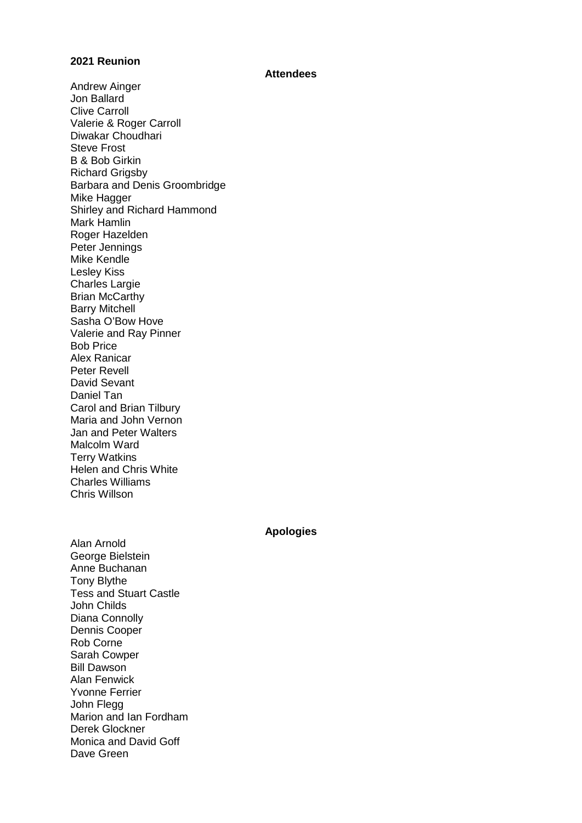## **2021 Reunion**

## **Attendees**

Andrew Ainger Jon Ballard Clive Carroll Valerie & Roger Carroll Diwakar Choudhari Steve Frost B & Bob Girkin Richard Grigsby Barbara and Denis Groombridge Mike Hagger Shirley and Richard Hammond Mark Hamlin Roger Hazelden Peter Jennings Mike Kendle Lesley Kiss Charles Largie Brian McCarthy Barry Mitchell Sasha O'Bow Hove Valerie and Ray Pinner Bob Price Alex Ranicar Peter Revell David Sevant Daniel Tan Carol and Brian Tilbury Maria and John Vernon Jan and Peter Walters Malcolm Ward Terry Watkins Helen and Chris White Charles Williams Chris Willson

**Apologies**

Alan Arnold George Bielstein Anne Buchanan Tony Blythe Tess and Stuart Castle John Childs Diana Connolly Dennis Cooper Rob Corne Sarah Cowper Bill Dawson Alan Fenwick Yvonne Ferrier John Flegg Marion and Ian Fordham Derek Glockner Monica and David Goff Dave Green